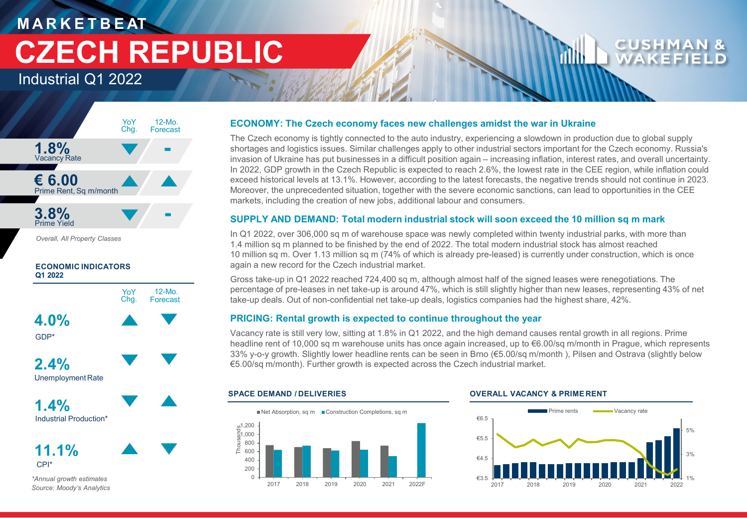# **M A R K E T B E AT CZECH REPUBLIC**

Industrial Q1 2022



*Overall, All Property Classes*



## CPI\* **11.1%**

*\*Annual growth estimates Source: Moody's Analytics*

## **ECONOMY: The Czech economy faces new challenges amidst the war in Ukraine**

The Czech economy is tightly connected to the auto industry, experiencing a slowdown in production due to global supply shortages and logistics issues. Similar challenges apply to other industrial sectors important for the Czech economy. Russia's invasion of Ukraine has put businesses in a difficult position again – increasing inflation, interest rates, and overall uncertainty. In 2022, GDP growth in the Czech Republic is expected to reach 2.6%, the lowest rate in the CEE region, while inflation could exceed historical levels at 13.1%. However, according to the latest forecasts, the negative trends should not continue in 2023. Moreover, the unprecedented situation, together with the severe economic sanctions, can lead to opportunities in the CEE markets, including the creation of new jobs, additional labour and consumers.

## **SUPPLY AND DEMAND: Total modern industrial stock will soon exceed the 10 million sq m mark**

In Q1 2022, over 306,000 sq m of warehouse space was newly completed within twenty industrial parks, with more than 1.4 million sq m planned to be finished by the end of 2022. The total modern industrial stock has almost reached 10 million sq m. Over 1.13 million sq m (74% of which is already pre-leased) is currently under construction, which is once again a new record for the Czech industrial market.

Gross take-up in Q1 2022 reached 724,400 sq m, although almost half of the signed leases were renegotiations. The percentage of pre-leases in net take-up is around 47%, which is still slightly higher than new leases, representing 43% of net take-up deals. Out of non-confidential net take-up deals, logistics companies had the highest share, 42%.

## **PRICING: Rental growth is expected to continue throughout the year**

Vacancy rate is still very low, sitting at 1.8% in Q1 2022, and the high demand causes rental growth in all regions. Prime headline rent of 10,000 sq m warehouse units has once again increased, up to €6.00/sq m/month in Prague, which represents 33% y-o-y growth. Slightly lower headline rents can be seen in Brno (€5.00/sq m/month ), Pilsen and Ostrava (slightly below €5.00/sq m/month). Further growth is expected across the Czech industrial market.



## **SPACE DEMAND / DELIVERIES OVERALL VACANCY & PRIME RENT**